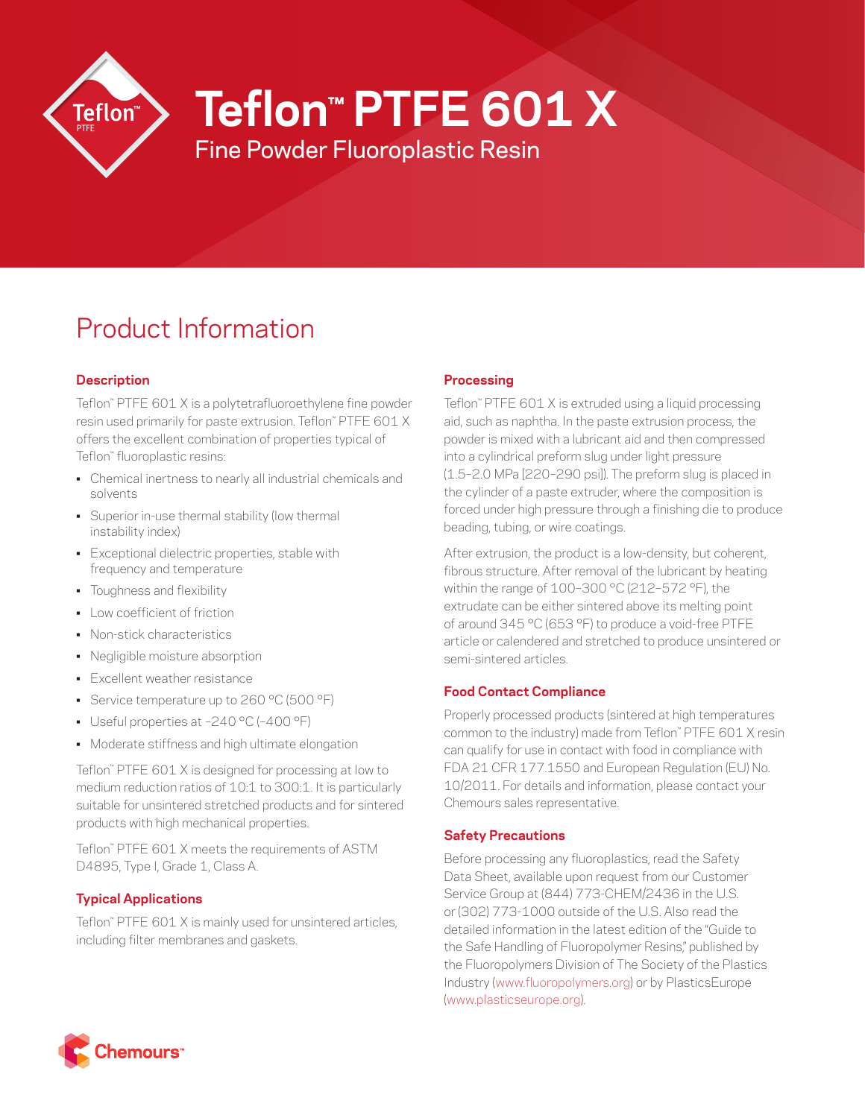

# **Teflon™ PTFE 601 X**

Fine Powder Fluoroplastic Resin

# Product Information

# **Description**

Teflon™ PTFE 601 X is a polytetrafluoroethylene fine powder resin used primarily for paste extrusion. Teflon™ PTFE 601 X offers the excellent combination of properties typical of Teflon™ fluoroplastic resins:

- Chemical inertness to nearly all industrial chemicals and solvents
- Superior in-use thermal stability (low thermal instability index)
- Exceptional dielectric properties, stable with frequency and temperature
- Toughness and flexibility
- Low coefficient of friction
- Non-stick characteristics
- Negligible moisture absorption
- Excellent weather resistance
- Service temperature up to 260 °C (500 °F)
- Useful properties at –240 °C (–400 °F)
- Moderate stiffness and high ultimate elongation

Teflon™ PTFE 601 X is designed for processing at low to medium reduction ratios of 10:1 to 300:1. It is particularly suitable for unsintered stretched products and for sintered products with high mechanical properties.

Teflon™ PTFE 601 X meets the requirements of ASTM D4895, Type I, Grade 1, Class A.

# **Typical Applications**

Teflon™ PTFE 601 X is mainly used for unsintered articles, including filter membranes and gaskets.

# **Processing**

Teflon™ PTFE 601 X is extruded using a liquid processing aid, such as naphtha. In the paste extrusion process, the powder is mixed with a lubricant aid and then compressed into a cylindrical preform slug under light pressure (1.5–2.0 MPa [220–290 psi]). The preform slug is placed in the cylinder of a paste extruder, where the composition is forced under high pressure through a finishing die to produce beading, tubing, or wire coatings.

After extrusion, the product is a low-density, but coherent, fibrous structure. After removal of the lubricant by heating within the range of 100–300 °C (212–572 °F), the extrudate can be either sintered above its melting point of around 345 °C (653 °F) to produce a void-free PTFE article or calendered and stretched to produce unsintered or semi-sintered articles.

# **Food Contact Compliance**

Properly processed products (sintered at high temperatures common to the industry) made from Teflon™ PTFE 601 X resin can qualify for use in contact with food in compliance with FDA 21 CFR 177.1550 and European Regulation (EU) No. 10/2011. For details and information, please contact your Chemours sales representative.

# **Safety Precautions**

Before processing any fluoroplastics, read the Safety Data Sheet, available upon request from our Customer Service Group at (844) 773-CHEM/2436 in the U.S. or (302) 773-1000 outside of the U.S. Also read the detailed information in the latest edition of the "Guide to the Safe Handling of Fluoropolymer Resins," published by the Fluoropolymers Division of The Society of the Plastics Industry ([www.fluoropolymers.org](http://www.fluoropolymers.org)) or by PlasticsEurope [\(www.plasticseurope.org](http://www.plasticseurope.org)).